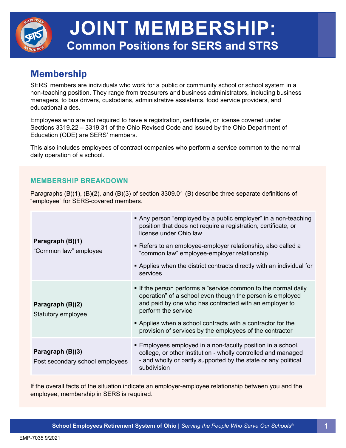

# **JOINT MEMBERSHIP: Common Positions for SERS and STRS**

## Membership

SERS' members are individuals who work for a public or community school or school system in a non-teaching position. They range from treasurers and business administrators, including business managers, to bus drivers, custodians, administrative assistants, food service providers, and educational aides.

Employees who are not required to have a registration, certificate, or license covered under Sections 3319.22 – 3319.31 of the Ohio Revised Code and issued by the Ohio Department of Education (ODE) are SERS' members.

This also includes employees of contract companies who perform a service common to the normal daily operation of a school.

#### **MEMBERSHIP BREAKDOWN**

Paragraphs (B)(1), (B)(2), and (B)(3) of section 3309.01 (B) describe three separate definitions of "employee" for SERS-covered members.

| Paragraph (B)(1)<br>"Common law" employee           | Any person "employed by a public employer" in a non-teaching<br>position that does not require a registration, certificate, or<br>license under Ohio law<br>• Refers to an employee-employer relationship, also called a<br>"common law" employee-employer relationship<br>• Applies when the district contracts directly with an individual for<br>services |
|-----------------------------------------------------|--------------------------------------------------------------------------------------------------------------------------------------------------------------------------------------------------------------------------------------------------------------------------------------------------------------------------------------------------------------|
| Paragraph (B)(2)<br>Statutory employee              | • If the person performs a "service common to the normal daily<br>operation" of a school even though the person is employed<br>and paid by one who has contracted with an employer to<br>perform the service<br>• Applies when a school contracts with a contractor for the<br>provision of services by the employees of the contractor                      |
| Paragraph (B)(3)<br>Post secondary school employees | ■ Employees employed in a non-faculty position in a school,<br>college, or other institution - wholly controlled and managed<br>- and wholly or partly supported by the state or any political<br>subdivision                                                                                                                                                |

If the overall facts of the situation indicate an employer-employee relationship between you and the employee, membership in SERS is required.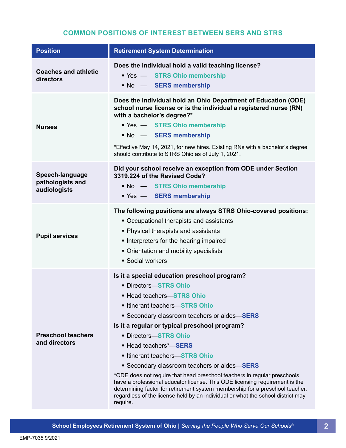### **COMMON POSITIONS OF INTEREST BETWEEN SERS AND STRS**

| <b>Position</b>                                     | <b>Retirement System Determination</b>                                                                                                                                                                                                                                                                                                                                                                                                                                                                                                                                                                                                                                                                               |
|-----------------------------------------------------|----------------------------------------------------------------------------------------------------------------------------------------------------------------------------------------------------------------------------------------------------------------------------------------------------------------------------------------------------------------------------------------------------------------------------------------------------------------------------------------------------------------------------------------------------------------------------------------------------------------------------------------------------------------------------------------------------------------------|
| <b>Coaches and athletic</b><br>directors            | Does the individual hold a valid teaching license?<br>■ Yes — STRS Ohio membership<br>No - SERS membership                                                                                                                                                                                                                                                                                                                                                                                                                                                                                                                                                                                                           |
| <b>Nurses</b>                                       | Does the individual hold an Ohio Department of Education (ODE)<br>school nurse license or is the individual a registered nurse (RN)<br>with a bachelor's degree?*<br>■ Yes — STRS Ohio membership<br>No - SERS membership<br>*Effective May 14, 2021, for new hires. Existing RNs with a bachelor's degree<br>should contribute to STRS Ohio as of July 1, 2021.                                                                                                                                                                                                                                                                                                                                                     |
| Speech-language<br>pathologists and<br>audiologists | Did your school receive an exception from ODE under Section<br>3319.224 of the Revised Code?<br>No - STRS Ohio membership<br>■ Yes — SERS membership                                                                                                                                                                                                                                                                                                                                                                                                                                                                                                                                                                 |
| <b>Pupil services</b>                               | The following positions are always STRS Ohio-covered positions:<br>• Occupational therapists and assistants<br>• Physical therapists and assistants<br>Interpreters for the hearing impaired<br>• Orientation and mobility specialists<br>• Social workers                                                                                                                                                                                                                                                                                                                                                                                                                                                           |
| <b>Preschool teachers</b><br>and directors          | Is it a special education preschool program?<br>• Directors-STRS Ohio<br>■ Head teachers-STRS Ohio<br>Itinerant teachers-STRS Ohio<br>• Secondary classroom teachers or aides-SERS<br>Is it a regular or typical preschool program?<br><b>- Directors-STRS Ohio</b><br>■ Head teachers*-SERS<br>Itinerant teachers-STRS Ohio<br>Secondary classroom teachers or aides-SERS<br>*ODE does not require that head preschool teachers in regular preschools<br>have a professional educator license. This ODE licensing requirement is the<br>determining factor for retirement system membership for a preschool teacher,<br>regardless of the license held by an individual or what the school district may<br>require. |